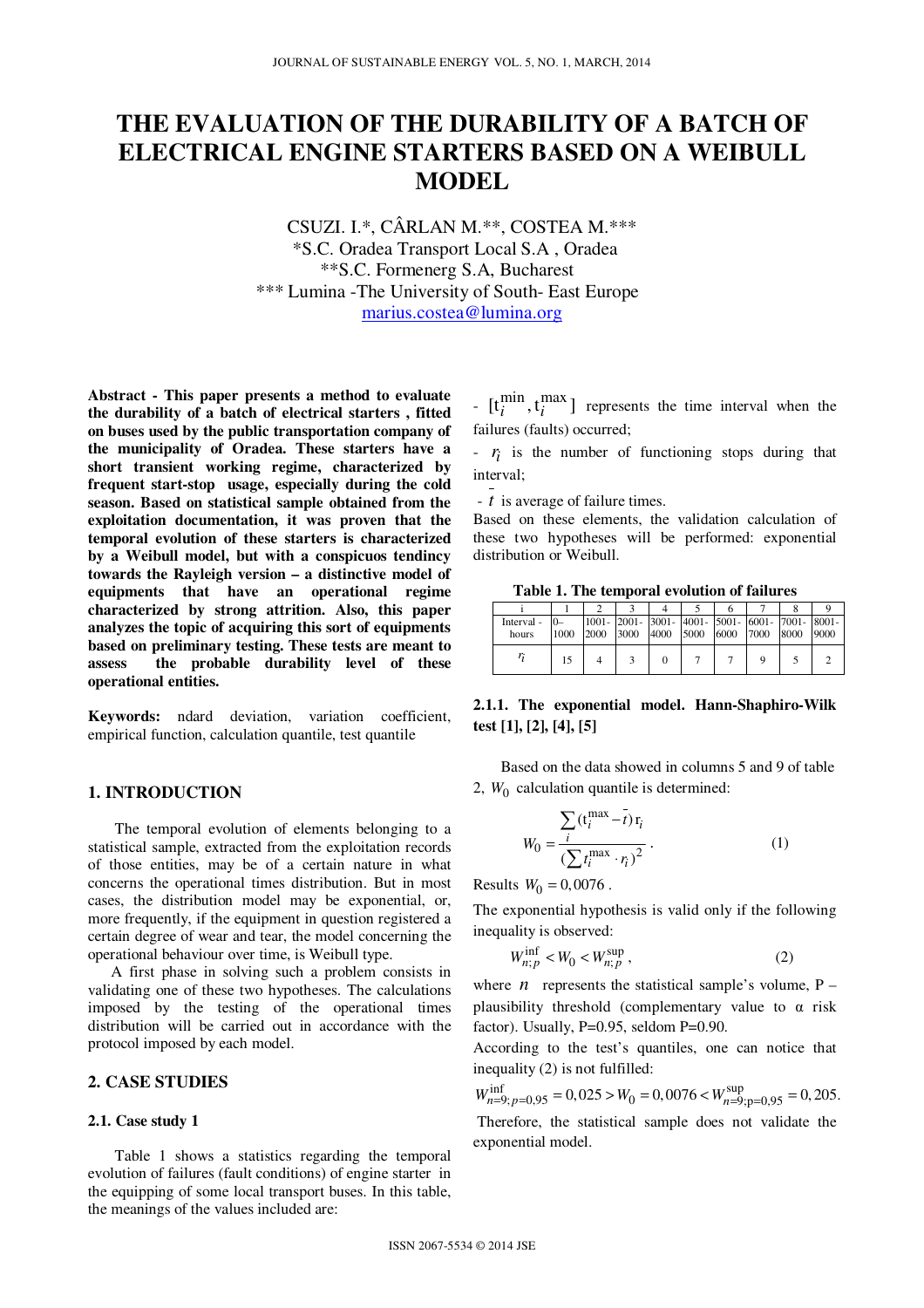# **THE EVALUATION OF THE DURABILITY OF A BATCH OF ELECTRICAL ENGINE STARTERS BASED ON A WEIBULL MODEL**

CSUZI. I.\*, CÂRLAN M.\*\*, COSTEA M.\*\*\* \*S.C. Oradea Transport Local S.A , Oradea \*\*S.C. Formenerg S.A, Bucharest \*\*\* Lumina -The University of South- East Europe marius.costea@lumina.org

**Abstract - This paper presents a method to evaluate the durability of a batch of electrical starters , fitted on buses used by the public transportation company of the municipality of Oradea. These starters have a short transient working regime, characterized by frequent start-stop usage, especially during the cold season. Based on statistical sample obtained from the exploitation documentation, it was proven that the temporal evolution of these starters is characterized by a Weibull model, but with a conspicuos tendincy towards the Rayleigh version – a distinctive model of equipments that have an operational regime characterized by strong attrition. Also, this paper analyzes the topic of acquiring this sort of equipments based on preliminary testing. These tests are meant to assess the probable durability level of these operational entities.** 

**Keywords:** ndard deviation, variation coefficient, empirical function, calculation quantile, test quantile

#### **1. INTRODUCTION**

 The temporal evolution of elements belonging to a statistical sample, extracted from the exploitation records of those entities, may be of a certain nature in what concerns the operational times distribution. But in most cases, the distribution model may be exponential, or, more frequently, if the equipment in question registered a certain degree of wear and tear, the model concerning the operational behaviour over time, is Weibull type.

 A first phase in solving such a problem consists in validating one of these two hypotheses. The calculations imposed by the testing of the operational times distribution will be carried out in accordance with the protocol imposed by each model.

# **2. CASE STUDIES**

#### **2.1. Case study 1**

Table 1 shows a statistics regarding the temporal evolution of failures (fault conditions) of engine starter in the equipping of some local transport buses. In this table, the meanings of the values included are:

 $[-\left[t_i^{\min}, t_i^{\max}\right]]$  represents the time interval when the failures (faults) occurred;

 $r_i$  is the number of functioning stops during that interval;

- *t* is average of failure times.

Based on these elements, the validation calculation of these two hypotheses will be performed: exponential distribution or Weibull.

**Table 1. The temporal evolution of failures** 

| Interval - |      |      |      |      |      |           | 1001- 2001- 3001- 4001- 5001- 6001- 7001- 8001- |      |      |
|------------|------|------|------|------|------|-----------|-------------------------------------------------|------|------|
| hours      | 1000 | 2000 | 3000 | 4000 | 5000 | 6000 7000 |                                                 | 8000 | 9000 |
|            | 15   |      |      |      |      |           |                                                 |      |      |

# **2.1.1. The exponential model. Hann-Shaphiro-Wilk test [1], [2], [4], [5]**

 Based on the data showed in columns 5 and 9 of table 2,  $W_0$  calculation quantile is determined:

$$
W_0 = \frac{\sum_{i} (\mathbf{t}_i^{\text{max}} - \bar{t}) \mathbf{r}_i}{\left(\sum_{i} \mathbf{t}_i^{\text{max}} \cdot \mathbf{r}_i\right)^2}.
$$
 (1)

Results  $W_0 = 0,0076$ .

The exponential hypothesis is valid only if the following inequality is observed:

$$
W_{n;p}^{\text{inf}} < W_0 < W_{n;p}^{\text{sup}} \,,\tag{2}
$$

where  $n$  represents the statistical sample's volume,  $P$ plausibility threshold (complementary value to  $\alpha$  risk factor). Usually,  $P=0.95$ , seldom  $P=0.90$ .

According to the test's quantiles, one can notice that inequality (2) is not fulfilled:

 $W_{n=9; p=0,95}^{\text{inf}} = 0,025 > W_0 = 0,0076 < W_{n=9; p=0,95}^{\text{sup}} = 0,205.$  Therefore, the statistical sample does not validate the exponential model.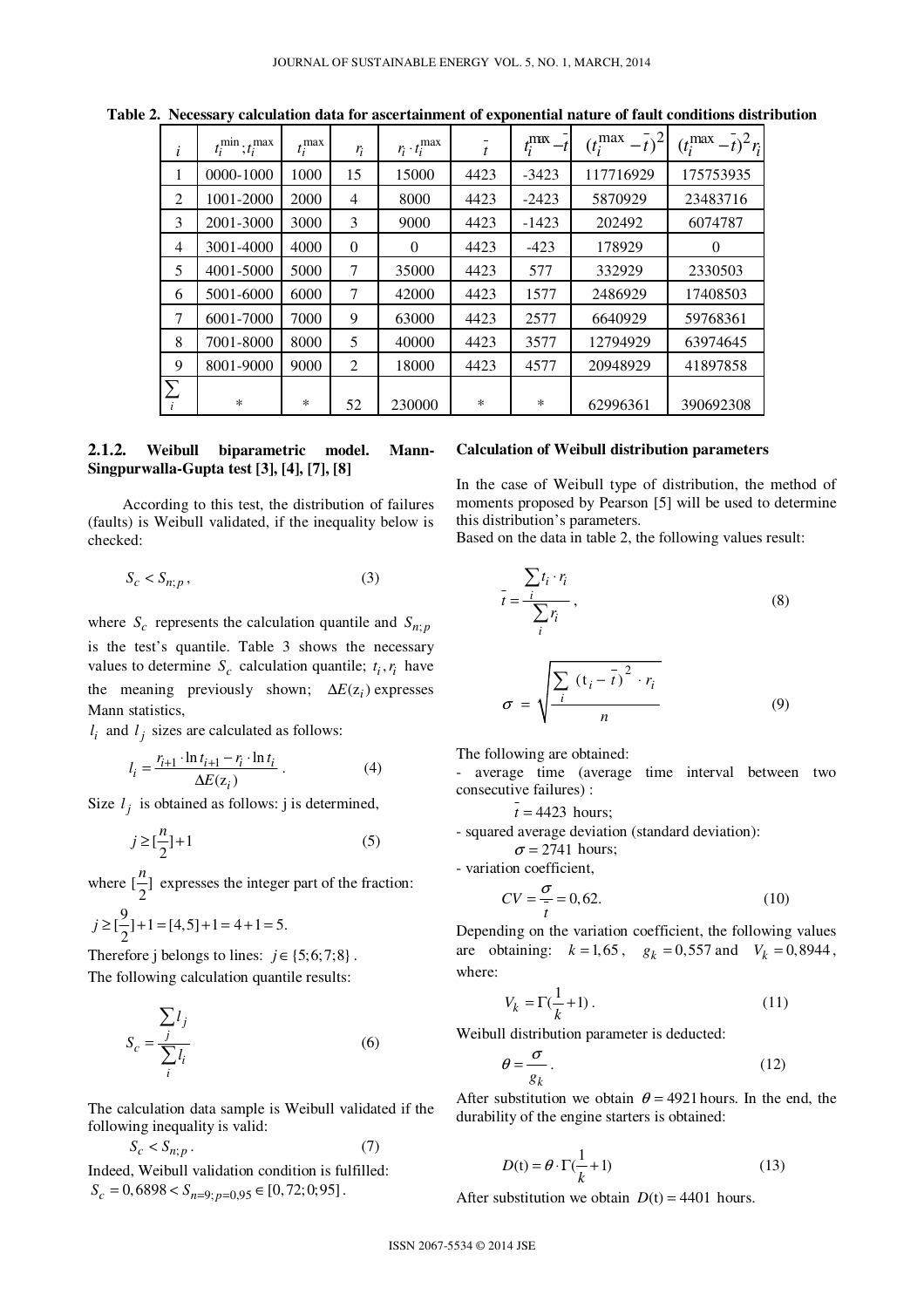| i              | $t_i^{\min}$ ; $t_i^{\max}$ | $t_i^{\max}$ | $r_i$          | $r_i \cdot t_i^{\max}$ | $\boldsymbol{t}$ | $t_i^{\mathrm{max}}$ | $(t_i^{\max})$<br>$-\overline{t}$ <sup>2</sup> | $(t_i^{\max} - t)^2 r_i$ |
|----------------|-----------------------------|--------------|----------------|------------------------|------------------|----------------------|------------------------------------------------|--------------------------|
| 1              | 0000-1000                   | 1000         | 15             | 15000                  | 4423             | $-3423$              | 117716929                                      | 175753935                |
| 2              | 1001-2000                   | 2000         | $\overline{4}$ | 8000                   | 4423             | $-2423$              | 5870929                                        | 23483716                 |
| 3              | 2001-3000                   | 3000         | 3              | 9000                   | 4423             | $-1423$              | 202492                                         | 6074787                  |
| $\overline{4}$ | 3001-4000                   | 4000         | $\theta$       | $\Omega$               | 4423             | $-423$               | 178929                                         | $\theta$                 |
| 5              | 4001-5000                   | 5000         | 7              | 35000                  | 4423             | 577                  | 332929                                         | 2330503                  |
| 6              | 5001-6000                   | 6000         | 7              | 42000                  | 4423             | 1577                 | 2486929                                        | 17408503                 |
| 7              | 6001-7000                   | 7000         | 9              | 63000                  | 4423             | 2577                 | 6640929                                        | 59768361                 |
| 8              | 7001-8000                   | 8000         | 5              | 40000                  | 4423             | 3577                 | 12794929                                       | 63974645                 |
| 9              | 8001-9000                   | 9000         | 2              | 18000                  | 4423             | 4577                 | 20948929                                       | 41897858                 |
| $\sum$<br>i    | $\ast$                      | ∗            | 52             | 230000                 | ∗                | $\ast$               | 62996361                                       | 390692308                |

**Table 2. Necessary calculation data for ascertainment of exponential nature of fault conditions distribution**

#### **2.1.2. Weibull biparametric model. Mann-Singpurwalla-Gupta test [3], [4], [7], [8]**

 According to this test, the distribution of failures (faults) is Weibull validated, if the inequality below is checked:

$$
S_c < S_{n;p} \,,\tag{3}
$$

where  $S_c$  represents the calculation quantile and  $S_{n,p}$ is the test's quantile. Table 3 shows the necessary values to determine  $S_c$  calculation quantile;  $t_i, r_i$  have the meaning previously shown;  $\Delta E(z_i)$  expresses Mann statistics,

 $l_i$  and  $l_j$  sizes are calculated as follows:

$$
l_i = \frac{r_{i+1} \cdot \ln t_{i+1} - r_i \cdot \ln t_i}{\Delta E(z_i)}.
$$
 (4)

Size  $l_j$  is obtained as follows: j is determined,

$$
j \ge \left[\frac{n}{2}\right] + 1\tag{5}
$$

where  $\left[\frac{n}{2}\right]$  $\frac{n}{r}$  expresses the integer part of the fraction:

$$
j \ge \left[\frac{9}{2}\right]+1 = [4,5]+1 = 4+1 = 5.
$$

Therefore j belongs to lines:  $j \in \{5,6,7,8\}$ . The following calculation quantile results:

$$
S_c = \frac{\sum_{j} l_j}{\sum_{i} l_i}
$$
 (6)

The calculation data sample is Weibull validated if the following inequality is valid:

$$
S_c < S_{n;p} \tag{7}
$$

Indeed, Weibull validation condition is fulfilled:  $S_c = 0,6898 < S_{n=9; p=0,95} \in [0,72;0;95]$ .

## **Calculation of Weibull distribution parameters**

In the case of Weibull type of distribution, the method of moments proposed by Pearson [5] will be used to determine this distribution's parameters.

Based on the data in table 2, the following values result:

$$
\bar{t} = \frac{\sum t_i \cdot r_i}{\sum_i r_i},\tag{8}
$$

$$
\sigma = \sqrt{\frac{\sum_{i} (t_i - \overline{t})^2 \cdot r_i}{n}}
$$
(9)

The following are obtained:

- average time (average time interval between two consecutive failures) :

 $t = 4423$  hours;

- squared average deviation (standard deviation):

 $\sigma$  = 2741 hours;

- variation coefficient,

$$
CV = \frac{\sigma}{t} = 0,62.
$$
 (10)

Depending on the variation coefficient, the following values are obtaining:  $k = 1,65$ ,  $g_k = 0,557$  and  $V_k = 0,8944$ , where:

$$
V_k = \Gamma(\frac{1}{k} + 1). \tag{11}
$$

Weibull distribution parameter is deducted:

$$
\theta = \frac{\sigma}{g_k} \,. \tag{12}
$$

After substitution we obtain  $\theta = 4921$  hours. In the end, the durability of the engine starters is obtained:

$$
D(t) = \theta \cdot \Gamma(\frac{1}{k} + 1)
$$
 (13)

After substitution we obtain  $D(t) = 4401$  hours.